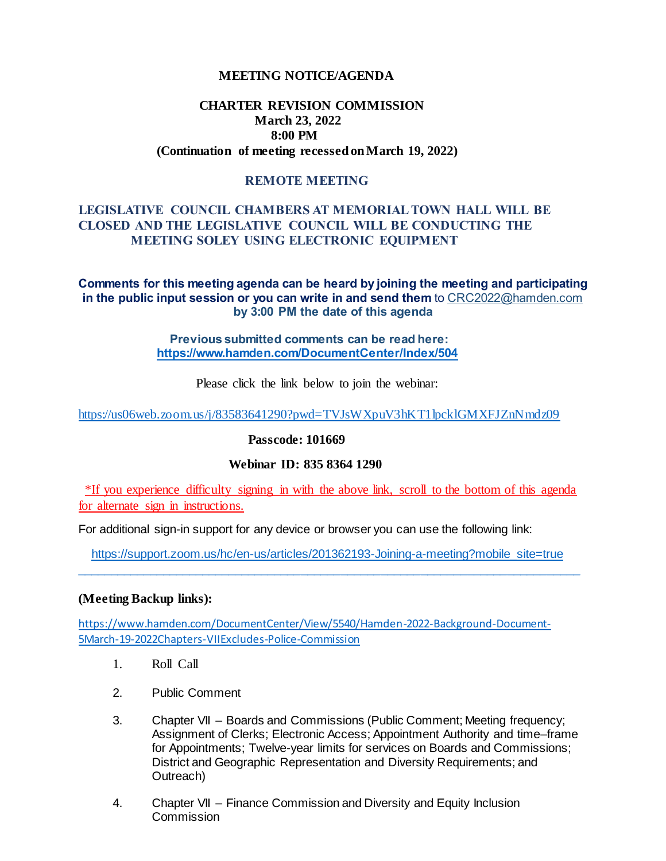#### **MEETING NOTICE/AGENDA**

# **CHARTER REVISION COMMISSION March 23, 2022 8:00 PM (Continuation of meeting recessed on March 19, 2022)**

# **REMOTE MEETING**

# **LEGISLATIVE COUNCIL CHAMBERS AT MEMORIAL TOWN HALL WILL BE CLOSED AND THE LEGISLATIVE COUNCIL WILL BE CONDUCTING THE MEETING SOLEY USING ELECTRONIC EQUIPMENT**

**Comments for this meeting agenda can be heard by joining the meeting and participating in the public input session or you can write in and send them** to CRC2022@hamden.com **by 3:00 PM the date of this agenda** 

> **Previous submitted comments can be read here: <https://www.hamden.com/DocumentCenter/Index/504>**

> > Please click the link below to join the webinar:

<https://us06web.zoom.us/j/83583641290?pwd=TVJsWXpuV3hKT1lpcklGMXFJZnNmdz09>

**Passcode: 101669**

# **Webinar ID: 835 8364 1290**

\*If you experience difficulty signing in with the above link, scroll to the bottom of this agenda for alternate sign in instructions.

For additional sign-in support for any device or browser you can use the following link:

 [https://support.zoom.us/hc/en-us/articles/201362193-Joining-a-meeting?mobile\\_site=true](https://support.zoom.us/hc/en-us/articles/201362193-Joining-a-meeting?mobile_site=true) \_\_\_\_\_\_\_\_\_\_\_\_\_\_\_\_\_\_\_\_\_\_\_\_\_\_\_\_\_\_\_\_\_\_\_\_\_\_\_\_\_\_\_\_\_\_\_\_\_\_\_\_\_\_\_\_\_\_\_\_\_\_\_\_\_\_\_\_\_\_\_\_\_\_\_\_

#### **(Meeting Backup links):**

[https://www.hamden.com/DocumentCenter/View/5540/Hamden-2022-Background-Document-](https://www.hamden.com/DocumentCenter/View/5540/Hamden-2022-Background-Document-5March-19-2022Chapters-VIIExcludes-Police-Commission)[5March-19-2022Chapters-VIIExcludes-Police-Commission](https://www.hamden.com/DocumentCenter/View/5540/Hamden-2022-Background-Document-5March-19-2022Chapters-VIIExcludes-Police-Commission)

- 1. Roll Call
- 2. Public Comment
- 3. Chapter VII Boards and Commissions (Public Comment; Meeting frequency; Assignment of Clerks; Electronic Access; Appointment Authority and time–frame for Appointments; Twelve-year limits for services on Boards and Commissions; District and Geographic Representation and Diversity Requirements; and Outreach)
- 4. Chapter VII Finance Commission and Diversity and Equity Inclusion Commission